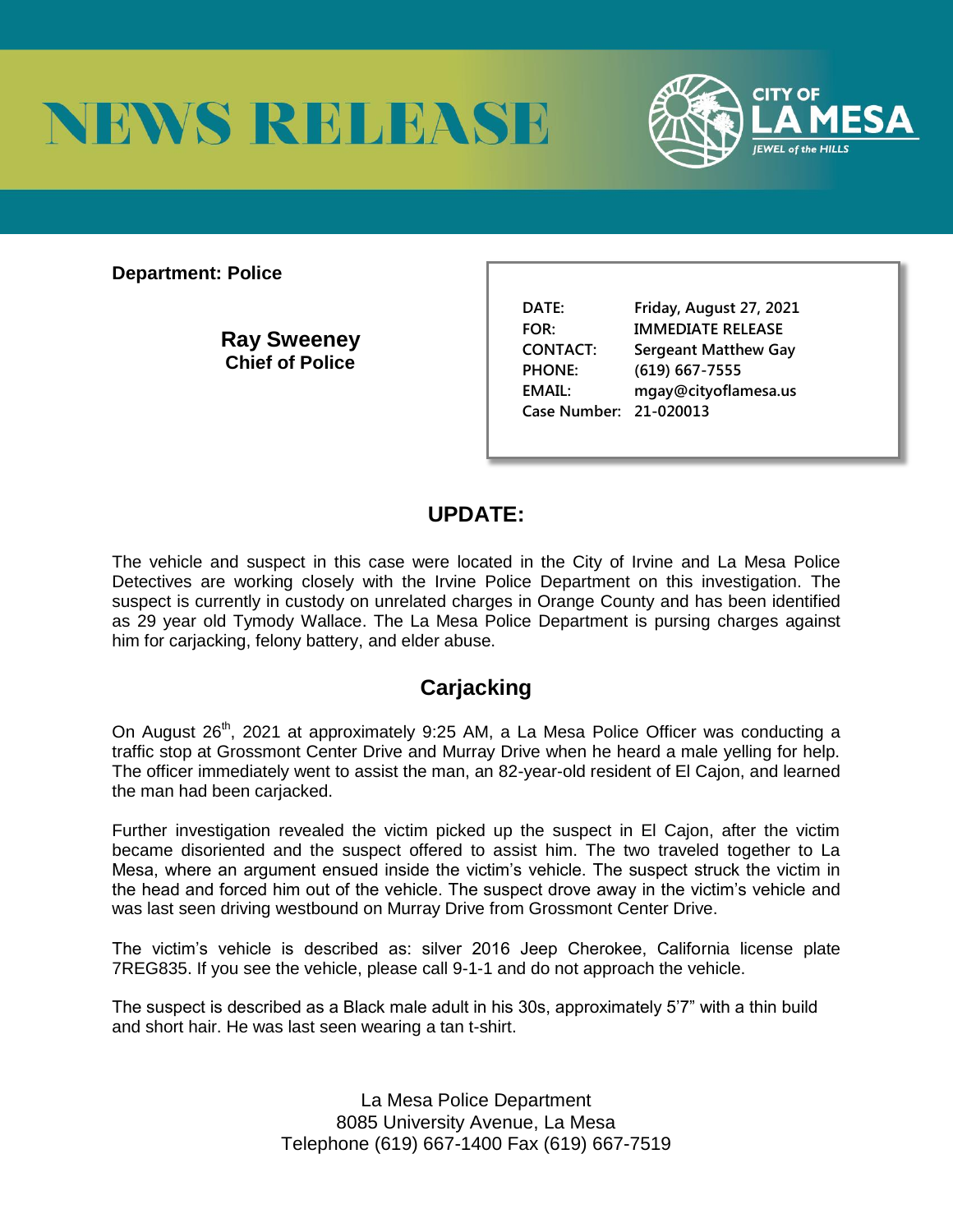



**Department: Police** 

**Ray Sweeney Chief of Police** 

**DATE: Friday, August 27, 2021 FOR: IMMEDIATE RELEASE CONTACT: Sergeant Matthew Gay PHONE: (619) 667-7555 EMAIL: mgay@cityoflamesa.us Case Number: 21-020013**

## **UPDATE:**

The vehicle and suspect in this case were located in the City of Irvine and La Mesa Police Detectives are working closely with the Irvine Police Department on this investigation. The suspect is currently in custody on unrelated charges in Orange County and has been identified as 29 year old Tymody Wallace. The La Mesa Police Department is pursing charges against him for carjacking, felony battery, and elder abuse.

## **Carjacking**

On August 26<sup>th</sup>, 2021 at approximately 9:25 AM, a La Mesa Police Officer was conducting a traffic stop at Grossmont Center Drive and Murray Drive when he heard a male yelling for help. The officer immediately went to assist the man, an 82-year-old resident of El Cajon, and learned the man had been carjacked.

Further investigation revealed the victim picked up the suspect in El Cajon, after the victim became disoriented and the suspect offered to assist him. The two traveled together to La Mesa, where an argument ensued inside the victim's vehicle. The suspect struck the victim in the head and forced him out of the vehicle. The suspect drove away in the victim's vehicle and was last seen driving westbound on Murray Drive from Grossmont Center Drive.

The victim's vehicle is described as: silver 2016 Jeep Cherokee, California license plate 7REG835. If you see the vehicle, please call 9-1-1 and do not approach the vehicle.

The suspect is described as a Black male adult in his 30s, approximately 5'7" with a thin build and short hair. He was last seen wearing a tan t-shirt.

> La Mesa Police Department 8085 University Avenue, La Mesa Telephone (619) 667-1400 Fax (619) 667-7519